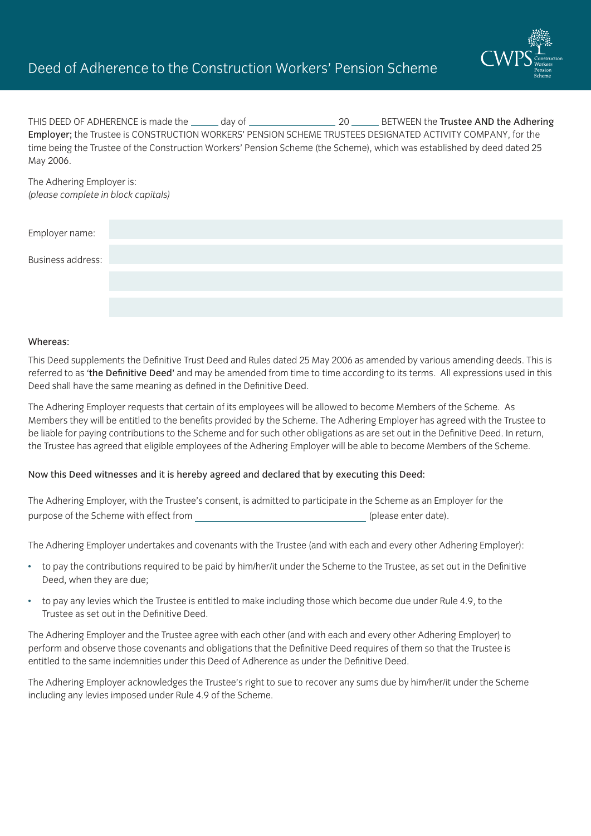

THIS DEED OF ADHERENCE is made the day of 20 BETWEEN the Trustee AND the Adhering Employer; the Trustee is CONSTRUCTION WORKERS' PENSION SCHEME TRUSTEES DESIGNATED ACTIVITY COMPANY, for the time being the Trustee of the Construction Workers' Pension Scheme (the Scheme), which was established by deed dated 25 May 2006.

The Adhering Employer is: *(please complete in block capitals)* 

| Employer name:    |  |  |  |
|-------------------|--|--|--|
| Business address: |  |  |  |
|                   |  |  |  |
|                   |  |  |  |

#### Whereas:

This Deed supplements the Definitive Trust Deed and Rules dated 25 May 2006 as amended by various amending deeds. This is referred to as 'the Definitive Deed' and may be amended from time to time according to its terms. All expressions used in this Deed shall have the same meaning as defined in the Definitive Deed.

The Adhering Employer requests that certain of its employees will be allowed to become Members of the Scheme. As Members they will be entitled to the benefits provided by the Scheme. The Adhering Employer has agreed with the Trustee to be liable for paying contributions to the Scheme and for such other obligations as are set out in the Definitive Deed. In return, the Trustee has agreed that eligible employees of the Adhering Employer will be able to become Members of the Scheme.

### Now this Deed witnesses and it is hereby agreed and declared that by executing this Deed:

The Adhering Employer, with the Trustee's consent, is admitted to participate in the Scheme as an Employer for the purpose of the Scheme with effect from  $($ 

The Adhering Employer undertakes and covenants with the Trustee (and with each and every other Adhering Employer):

- to pay the contributions required to be paid by him/her/it under the Scheme to the Trustee, as set out in the Definitive Deed, when they are due;
- to pay any levies which the Trustee is entitled to make including those which become due under Rule 4.9, to the Trustee as set out in the Definitive Deed.

The Adhering Employer and the Trustee agree with each other (and with each and every other Adhering Employer) to perform and observe those covenants and obligations that the Definitive Deed requires of them so that the Trustee is entitled to the same indemnities under this Deed of Adherence as under the Definitive Deed.

The Adhering Employer acknowledges the Trustee's right to sue to recover any sums due by him/her/it under the Scheme including any levies imposed under Rule 4.9 of the Scheme.